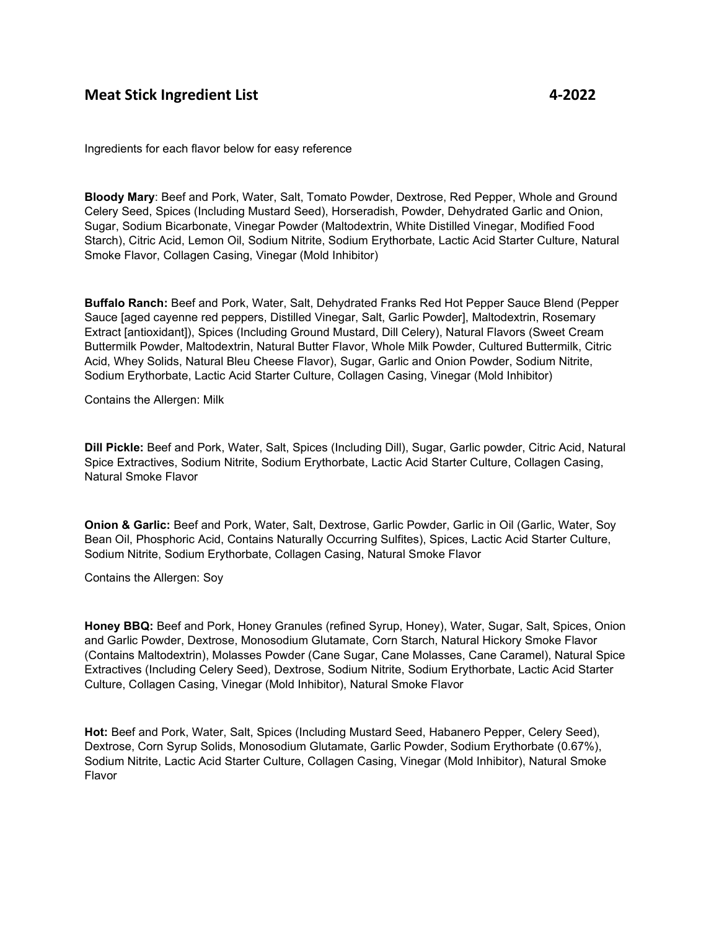## **Meat Stick Ingredient List 4-2022**

Ingredients for each flavor below for easy reference

**Bloody Mary**: Beef and Pork, Water, Salt, Tomato Powder, Dextrose, Red Pepper, Whole and Ground Celery Seed, Spices (Including Mustard Seed), Horseradish, Powder, Dehydrated Garlic and Onion, Sugar, Sodium Bicarbonate, Vinegar Powder (Maltodextrin, White Distilled Vinegar, Modified Food Starch), Citric Acid, Lemon Oil, Sodium Nitrite, Sodium Erythorbate, Lactic Acid Starter Culture, Natural Smoke Flavor, Collagen Casing, Vinegar (Mold Inhibitor)

**Buffalo Ranch:** Beef and Pork, Water, Salt, Dehydrated Franks Red Hot Pepper Sauce Blend (Pepper Sauce [aged cayenne red peppers, Distilled Vinegar, Salt, Garlic Powder], Maltodextrin, Rosemary Extract [antioxidant]), Spices (Including Ground Mustard, Dill Celery), Natural Flavors (Sweet Cream Buttermilk Powder, Maltodextrin, Natural Butter Flavor, Whole Milk Powder, Cultured Buttermilk, Citric Acid, Whey Solids, Natural Bleu Cheese Flavor), Sugar, Garlic and Onion Powder, Sodium Nitrite, Sodium Erythorbate, Lactic Acid Starter Culture, Collagen Casing, Vinegar (Mold Inhibitor)

Contains the Allergen: Milk

**Dill Pickle:** Beef and Pork, Water, Salt, Spices (Including Dill), Sugar, Garlic powder, Citric Acid, Natural Spice Extractives, Sodium Nitrite, Sodium Erythorbate, Lactic Acid Starter Culture, Collagen Casing, Natural Smoke Flavor

**Onion & Garlic:** Beef and Pork, Water, Salt, Dextrose, Garlic Powder, Garlic in Oil (Garlic, Water, Soy Bean Oil, Phosphoric Acid, Contains Naturally Occurring Sulfites), Spices, Lactic Acid Starter Culture, Sodium Nitrite, Sodium Erythorbate, Collagen Casing, Natural Smoke Flavor

Contains the Allergen: Soy

**Honey BBQ:** Beef and Pork, Honey Granules (refined Syrup, Honey), Water, Sugar, Salt, Spices, Onion and Garlic Powder, Dextrose, Monosodium Glutamate, Corn Starch, Natural Hickory Smoke Flavor (Contains Maltodextrin), Molasses Powder (Cane Sugar, Cane Molasses, Cane Caramel), Natural Spice Extractives (Including Celery Seed), Dextrose, Sodium Nitrite, Sodium Erythorbate, Lactic Acid Starter Culture, Collagen Casing, Vinegar (Mold Inhibitor), Natural Smoke Flavor

**Hot:** Beef and Pork, Water, Salt, Spices (Including Mustard Seed, Habanero Pepper, Celery Seed), Dextrose, Corn Syrup Solids, Monosodium Glutamate, Garlic Powder, Sodium Erythorbate (0.67%), Sodium Nitrite, Lactic Acid Starter Culture, Collagen Casing, Vinegar (Mold Inhibitor), Natural Smoke Flavor